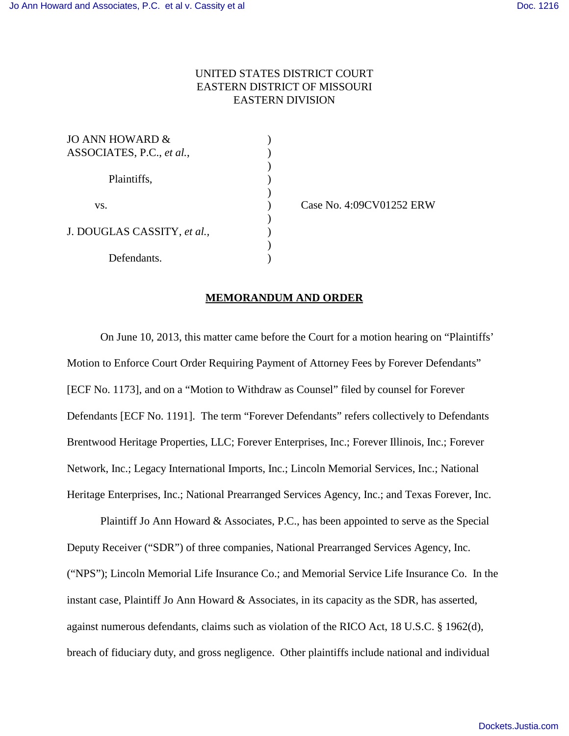## UNITED STATES DISTRICT COURT EASTERN DISTRICT OF MISSOURI EASTERN DIVISION

)

)

)

 $\lambda$ 

| JO ANN HOWARD &             |  |
|-----------------------------|--|
| ASSOCIATES, P.C., et al.,   |  |
|                             |  |
| Plaintiffs,                 |  |
|                             |  |
| VS.                         |  |
|                             |  |
| J. DOUGLAS CASSITY, et al., |  |
|                             |  |
| Defendants.                 |  |

) Case No. 4:09CV01252 ERW

## **MEMORANDUM AND ORDER**

On June 10, 2013, this matter came before the Court for a motion hearing on "Plaintiffs' Motion to Enforce Court Order Requiring Payment of Attorney Fees by Forever Defendants" [ECF No. 1173], and on a "Motion to Withdraw as Counsel" filed by counsel for Forever Defendants [ECF No. 1191]. The term "Forever Defendants" refers collectively to Defendants Brentwood Heritage Properties, LLC; Forever Enterprises, Inc.; Forever Illinois, Inc.; Forever Network, Inc.; Legacy International Imports, Inc.; Lincoln Memorial Services, Inc.; National Heritage Enterprises, Inc.; National Prearranged Services Agency, Inc.; and Texas Forever, Inc.

Plaintiff Jo Ann Howard & Associates, P.C., has been appointed to serve as the Special Deputy Receiver ("SDR") of three companies, National Prearranged Services Agency, Inc. ("NPS"); Lincoln Memorial Life Insurance Co.; and Memorial Service Life Insurance Co. In the instant case, Plaintiff Jo Ann Howard & Associates, in its capacity as the SDR, has asserted, against numerous defendants, claims such as violation of the RICO Act, 18 U.S.C. § 1962(d), breach of fiduciary duty, and gross negligence. Other plaintiffs include national and individual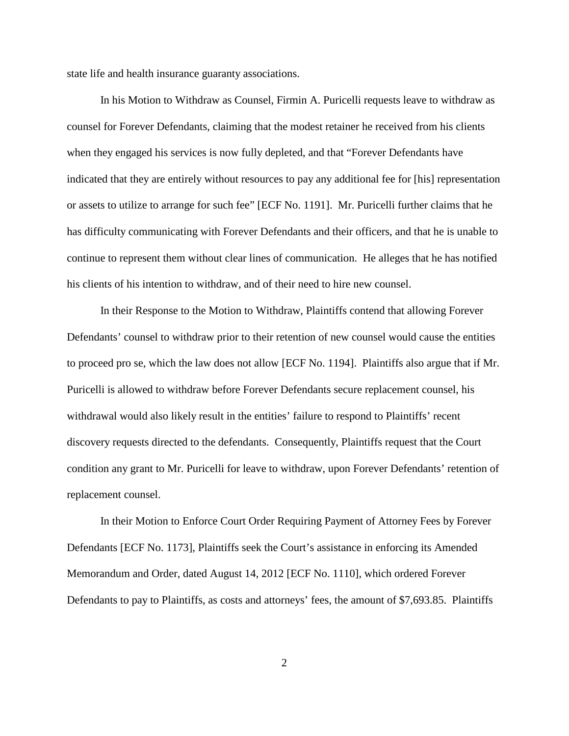state life and health insurance guaranty associations.

In his Motion to Withdraw as Counsel, Firmin A. Puricelli requests leave to withdraw as counsel for Forever Defendants, claiming that the modest retainer he received from his clients when they engaged his services is now fully depleted, and that "Forever Defendants have indicated that they are entirely without resources to pay any additional fee for [his] representation or assets to utilize to arrange for such fee" [ECF No. 1191]. Mr. Puricelli further claims that he has difficulty communicating with Forever Defendants and their officers, and that he is unable to continue to represent them without clear lines of communication. He alleges that he has notified his clients of his intention to withdraw, and of their need to hire new counsel.

In their Response to the Motion to Withdraw, Plaintiffs contend that allowing Forever Defendants' counsel to withdraw prior to their retention of new counsel would cause the entities to proceed pro se, which the law does not allow [ECF No. 1194]. Plaintiffs also argue that if Mr. Puricelli is allowed to withdraw before Forever Defendants secure replacement counsel, his withdrawal would also likely result in the entities' failure to respond to Plaintiffs' recent discovery requests directed to the defendants. Consequently, Plaintiffs request that the Court condition any grant to Mr. Puricelli for leave to withdraw, upon Forever Defendants' retention of replacement counsel.

In their Motion to Enforce Court Order Requiring Payment of Attorney Fees by Forever Defendants [ECF No. 1173], Plaintiffs seek the Court's assistance in enforcing its Amended Memorandum and Order, dated August 14, 2012 [ECF No. 1110], which ordered Forever Defendants to pay to Plaintiffs, as costs and attorneys' fees, the amount of \$7,693.85. Plaintiffs

2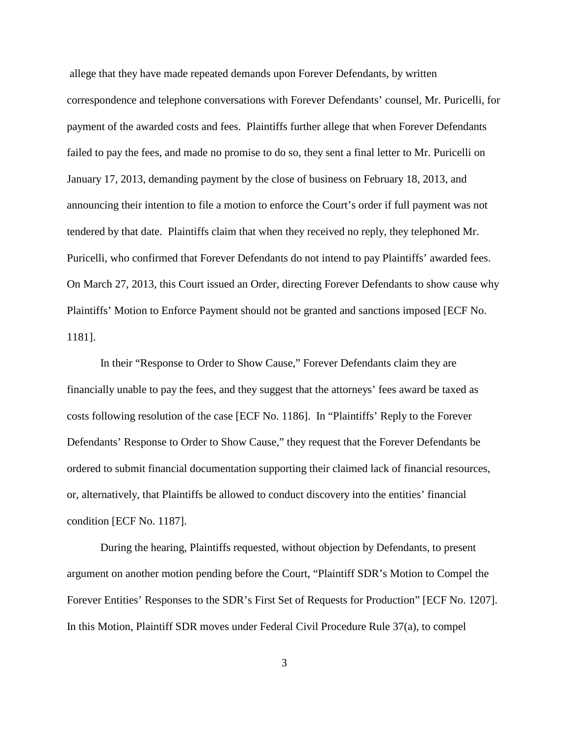allege that they have made repeated demands upon Forever Defendants, by written correspondence and telephone conversations with Forever Defendants' counsel, Mr. Puricelli, for payment of the awarded costs and fees. Plaintiffs further allege that when Forever Defendants failed to pay the fees, and made no promise to do so, they sent a final letter to Mr. Puricelli on January 17, 2013, demanding payment by the close of business on February 18, 2013, and announcing their intention to file a motion to enforce the Court's order if full payment was not tendered by that date. Plaintiffs claim that when they received no reply, they telephoned Mr. Puricelli, who confirmed that Forever Defendants do not intend to pay Plaintiffs' awarded fees. On March 27, 2013, this Court issued an Order, directing Forever Defendants to show cause why Plaintiffs' Motion to Enforce Payment should not be granted and sanctions imposed [ECF No. 1181].

In their "Response to Order to Show Cause," Forever Defendants claim they are financially unable to pay the fees, and they suggest that the attorneys' fees award be taxed as costs following resolution of the case [ECF No. 1186]. In "Plaintiffs' Reply to the Forever Defendants' Response to Order to Show Cause," they request that the Forever Defendants be ordered to submit financial documentation supporting their claimed lack of financial resources, or, alternatively, that Plaintiffs be allowed to conduct discovery into the entities' financial condition [ECF No. 1187].

During the hearing, Plaintiffs requested, without objection by Defendants, to present argument on another motion pending before the Court, "Plaintiff SDR's Motion to Compel the Forever Entities' Responses to the SDR's First Set of Requests for Production" [ECF No. 1207]. In this Motion, Plaintiff SDR moves under Federal Civil Procedure Rule 37(a), to compel

3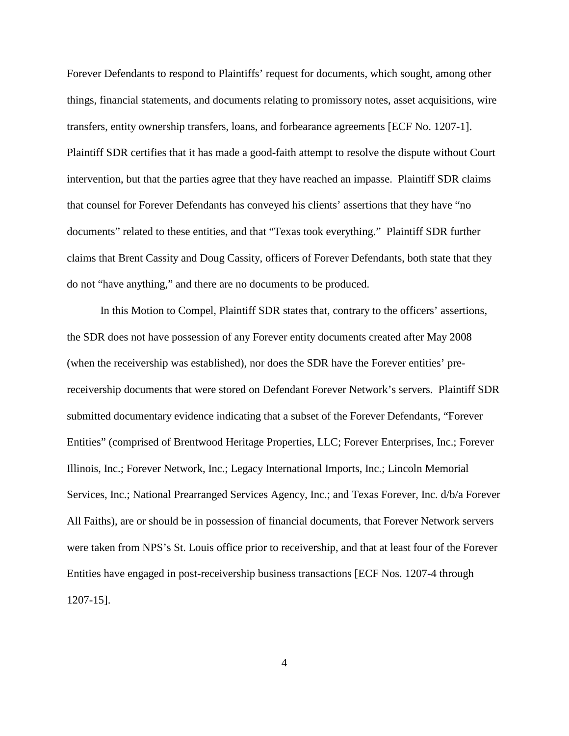Forever Defendants to respond to Plaintiffs' request for documents, which sought, among other things, financial statements, and documents relating to promissory notes, asset acquisitions, wire transfers, entity ownership transfers, loans, and forbearance agreements [ECF No. 1207-1]. Plaintiff SDR certifies that it has made a good-faith attempt to resolve the dispute without Court intervention, but that the parties agree that they have reached an impasse. Plaintiff SDR claims that counsel for Forever Defendants has conveyed his clients' assertions that they have "no documents" related to these entities, and that "Texas took everything." Plaintiff SDR further claims that Brent Cassity and Doug Cassity, officers of Forever Defendants, both state that they do not "have anything," and there are no documents to be produced.

In this Motion to Compel, Plaintiff SDR states that, contrary to the officers' assertions, the SDR does not have possession of any Forever entity documents created after May 2008 (when the receivership was established), nor does the SDR have the Forever entities' prereceivership documents that were stored on Defendant Forever Network's servers. Plaintiff SDR submitted documentary evidence indicating that a subset of the Forever Defendants, "Forever Entities" (comprised of Brentwood Heritage Properties, LLC; Forever Enterprises, Inc.; Forever Illinois, Inc.; Forever Network, Inc.; Legacy International Imports, Inc.; Lincoln Memorial Services, Inc.; National Prearranged Services Agency, Inc.; and Texas Forever, Inc. d/b/a Forever All Faiths), are or should be in possession of financial documents, that Forever Network servers were taken from NPS's St. Louis office prior to receivership, and that at least four of the Forever Entities have engaged in post-receivership business transactions [ECF Nos. 1207-4 through 1207-15].

4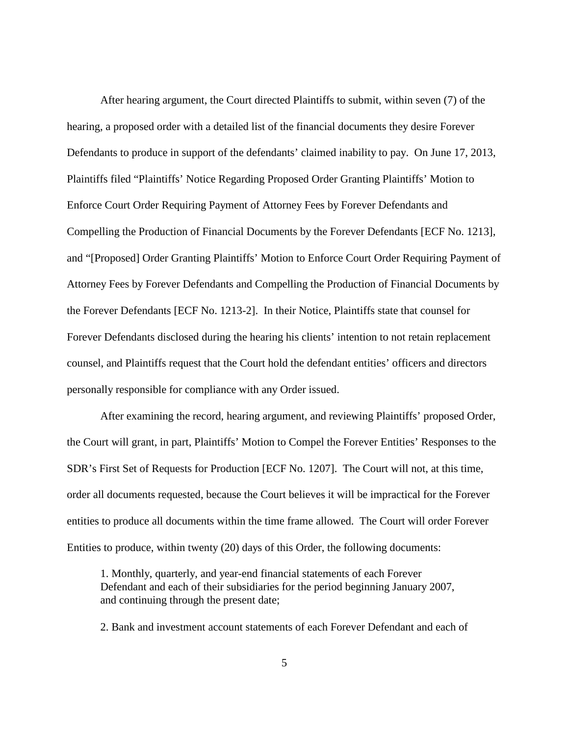After hearing argument, the Court directed Plaintiffs to submit, within seven (7) of the hearing, a proposed order with a detailed list of the financial documents they desire Forever Defendants to produce in support of the defendants' claimed inability to pay. On June 17, 2013, Plaintiffs filed "Plaintiffs' Notice Regarding Proposed Order Granting Plaintiffs' Motion to Enforce Court Order Requiring Payment of Attorney Fees by Forever Defendants and Compelling the Production of Financial Documents by the Forever Defendants [ECF No. 1213], and "[Proposed] Order Granting Plaintiffs' Motion to Enforce Court Order Requiring Payment of Attorney Fees by Forever Defendants and Compelling the Production of Financial Documents by the Forever Defendants [ECF No. 1213-2]. In their Notice, Plaintiffs state that counsel for Forever Defendants disclosed during the hearing his clients' intention to not retain replacement counsel, and Plaintiffs request that the Court hold the defendant entities' officers and directors personally responsible for compliance with any Order issued.

After examining the record, hearing argument, and reviewing Plaintiffs' proposed Order, the Court will grant, in part, Plaintiffs' Motion to Compel the Forever Entities' Responses to the SDR's First Set of Requests for Production [ECF No. 1207]. The Court will not, at this time, order all documents requested, because the Court believes it will be impractical for the Forever entities to produce all documents within the time frame allowed. The Court will order Forever Entities to produce, within twenty (20) days of this Order, the following documents:

1. Monthly, quarterly, and year-end financial statements of each Forever Defendant and each of their subsidiaries for the period beginning January 2007, and continuing through the present date;

2. Bank and investment account statements of each Forever Defendant and each of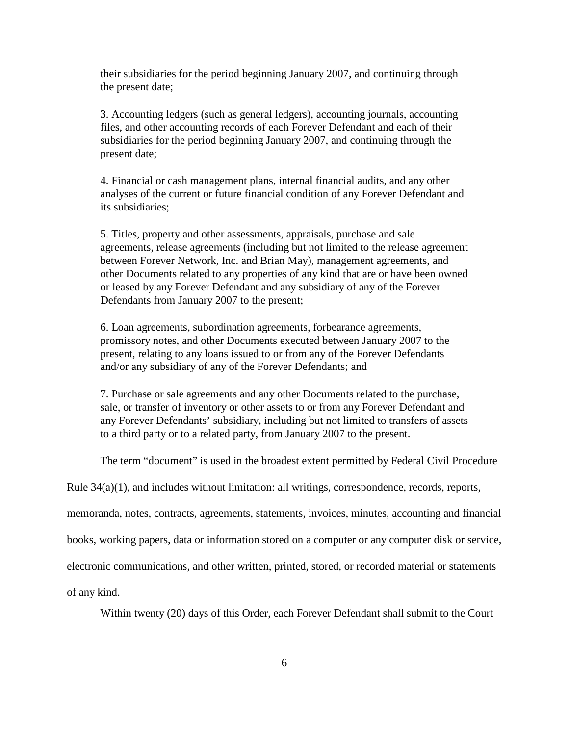their subsidiaries for the period beginning January 2007, and continuing through the present date;

3. Accounting ledgers (such as general ledgers), accounting journals, accounting files, and other accounting records of each Forever Defendant and each of their subsidiaries for the period beginning January 2007, and continuing through the present date;

4. Financial or cash management plans, internal financial audits, and any other analyses of the current or future financial condition of any Forever Defendant and its subsidiaries;

5. Titles, property and other assessments, appraisals, purchase and sale agreements, release agreements (including but not limited to the release agreement between Forever Network, Inc. and Brian May), management agreements, and other Documents related to any properties of any kind that are or have been owned or leased by any Forever Defendant and any subsidiary of any of the Forever Defendants from January 2007 to the present;

6. Loan agreements, subordination agreements, forbearance agreements, promissory notes, and other Documents executed between January 2007 to the present, relating to any loans issued to or from any of the Forever Defendants and/or any subsidiary of any of the Forever Defendants; and

7. Purchase or sale agreements and any other Documents related to the purchase, sale, or transfer of inventory or other assets to or from any Forever Defendant and any Forever Defendants' subsidiary, including but not limited to transfers of assets to a third party or to a related party, from January 2007 to the present.

The term "document" is used in the broadest extent permitted by Federal Civil Procedure

Rule  $34(a)(1)$ , and includes without limitation: all writings, correspondence, records, reports,

memoranda, notes, contracts, agreements, statements, invoices, minutes, accounting and financial

books, working papers, data or information stored on a computer or any computer disk or service,

electronic communications, and other written, printed, stored, or recorded material or statements

of any kind.

Within twenty (20) days of this Order, each Forever Defendant shall submit to the Court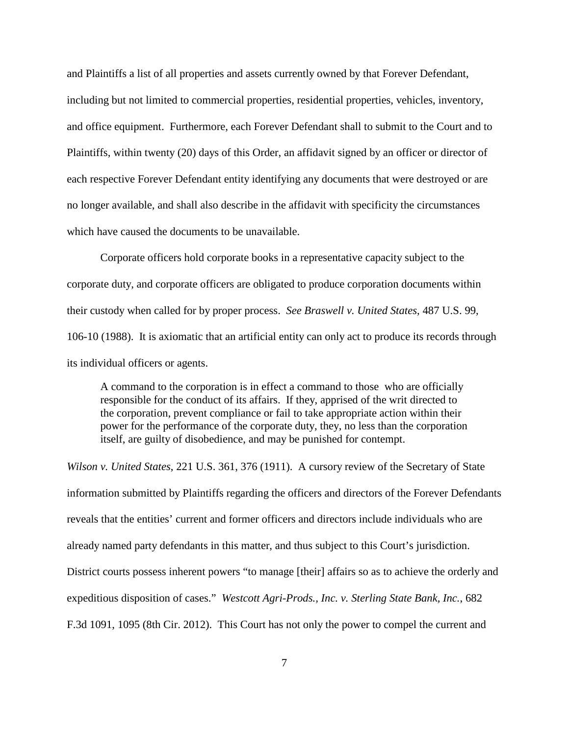and Plaintiffs a list of all properties and assets currently owned by that Forever Defendant, including but not limited to commercial properties, residential properties, vehicles, inventory, and office equipment. Furthermore, each Forever Defendant shall to submit to the Court and to Plaintiffs, within twenty (20) days of this Order, an affidavit signed by an officer or director of each respective Forever Defendant entity identifying any documents that were destroyed or are no longer available, and shall also describe in the affidavit with specificity the circumstances which have caused the documents to be unavailable.

Corporate officers hold corporate books in a representative capacity subject to the corporate duty, and corporate officers are obligated to produce corporation documents within their custody when called for by proper process. *See Braswell v. United States*, 487 U.S. 99, 106-10 (1988). It is axiomatic that an artificial entity can only act to produce its records through its individual officers or agents.

A command to the corporation is in effect a command to those who are officially responsible for the conduct of its affairs. If they, apprised of the writ directed to the corporation, prevent compliance or fail to take appropriate action within their power for the performance of the corporate duty, they, no less than the corporation itself, are guilty of disobedience, and may be punished for contempt.

*Wilson v. United States*, 221 U.S. 361, 376 (1911). A cursory review of the Secretary of State information submitted by Plaintiffs regarding the officers and directors of the Forever Defendants reveals that the entities' current and former officers and directors include individuals who are already named party defendants in this matter, and thus subject to this Court's jurisdiction. District courts possess inherent powers "to manage [their] affairs so as to achieve the orderly and expeditious disposition of cases." *Westcott Agri-Prods., Inc. v. Sterling State Bank, Inc.*, 682 F.3d 1091, 1095 (8th Cir. 2012). This Court has not only the power to compel the current and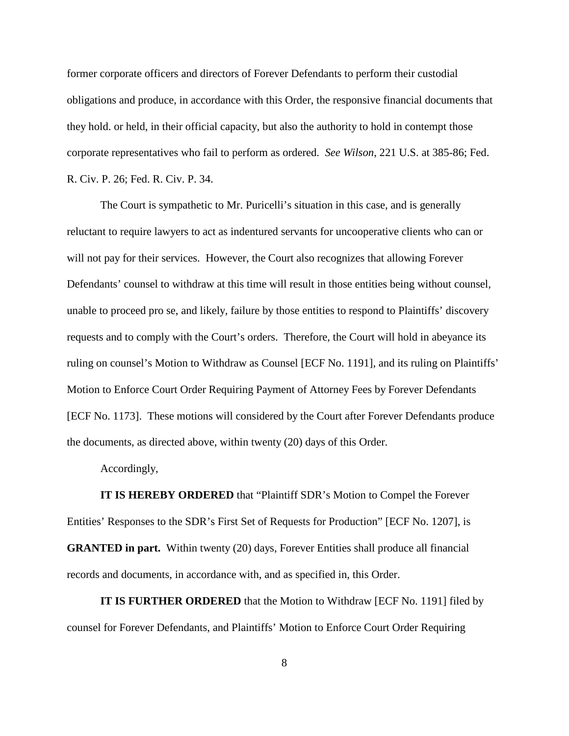former corporate officers and directors of Forever Defendants to perform their custodial obligations and produce, in accordance with this Order, the responsive financial documents that they hold. or held, in their official capacity, but also the authority to hold in contempt those corporate representatives who fail to perform as ordered. *See Wilson*, 221 U.S. at 385-86; Fed. R. Civ. P. 26; Fed. R. Civ. P. 34.

The Court is sympathetic to Mr. Puricelli's situation in this case, and is generally reluctant to require lawyers to act as indentured servants for uncooperative clients who can or will not pay for their services. However, the Court also recognizes that allowing Forever Defendants' counsel to withdraw at this time will result in those entities being without counsel, unable to proceed pro se, and likely, failure by those entities to respond to Plaintiffs' discovery requests and to comply with the Court's orders. Therefore, the Court will hold in abeyance its ruling on counsel's Motion to Withdraw as Counsel [ECF No. 1191], and its ruling on Plaintiffs' Motion to Enforce Court Order Requiring Payment of Attorney Fees by Forever Defendants [ECF No. 1173]. These motions will considered by the Court after Forever Defendants produce the documents, as directed above, within twenty (20) days of this Order.

Accordingly,

**IT IS HEREBY ORDERED** that "Plaintiff SDR's Motion to Compel the Forever Entities' Responses to the SDR's First Set of Requests for Production" [ECF No. 1207], is **GRANTED in part.** Within twenty (20) days, Forever Entities shall produce all financial records and documents, in accordance with, and as specified in, this Order.

**IT IS FURTHER ORDERED** that the Motion to Withdraw [ECF No. 1191] filed by counsel for Forever Defendants, and Plaintiffs' Motion to Enforce Court Order Requiring